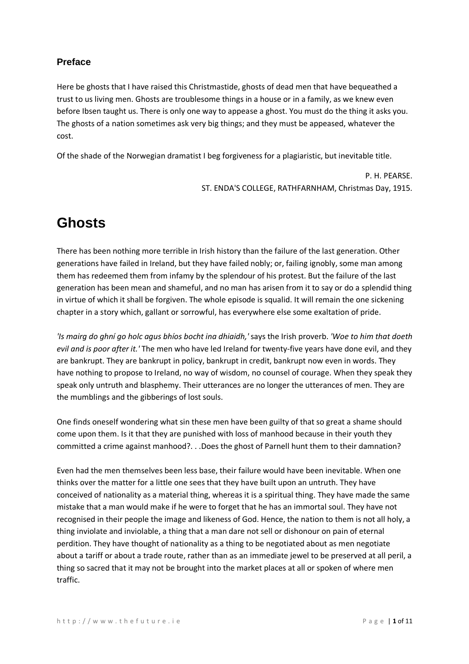# **Preface**

Here be ghosts that I have raised this Christmastide, ghosts of dead men that have bequeathed a trust to us living men. Ghosts are troublesome things in a house or in a family, as we knew even before Ibsen taught us. There is only one way to appease a ghost. You must do the thing it asks you. The ghosts of a nation sometimes ask very big things; and they must be appeased, whatever the cost.

Of the shade of the Norwegian dramatist I beg forgiveness for a plagiaristic, but inevitable title.

P. H. PEARSE. ST. ENDA'S COLLEGE, RATHFARNHAM, Christmas Day, 1915.

# **Ghosts**

There has been nothing more terrible in Irish history than the failure of the last generation. Other generations have failed in Ireland, but they have failed nobly; or, failing ignobly, some man among them has redeemed them from infamy by the splendour of his protest. But the failure of the last generation has been mean and shameful, and no man has arisen from it to say or do a splendid thing in virtue of which it shall be forgiven. The whole episode is squalid. It will remain the one sickening chapter in a story which, gallant or sorrowful, has everywhere else some exaltation of pride.

*'Is mairg do ghní go holc agus bhíos bocht ina dhiaidh,'* says the Irish proverb. *'Woe to him that doeth evil and is poor after it.'* The men who have led Ireland for twenty-five years have done evil, and they are bankrupt. They are bankrupt in policy, bankrupt in credit, bankrupt now even in words. They have nothing to propose to Ireland, no way of wisdom, no counsel of courage. When they speak they speak only untruth and blasphemy. Their utterances are no longer the utterances of men. They are the mumblings and the gibberings of lost souls.

One finds oneself wondering what sin these men have been guilty of that so great a shame should come upon them. Is it that they are punished with loss of manhood because in their youth they committed a crime against manhood?. . .Does the ghost of Parnell hunt them to their damnation?

Even had the men themselves been less base, their failure would have been inevitable. When one thinks over the matter for a little one sees that they have built upon an untruth. They have conceived of nationality as a material thing, whereas it is a spiritual thing. They have made the same mistake that a man would make if he were to forget that he has an immortal soul. They have not recognised in their people the image and likeness of God. Hence, the nation to them is not all holy, a thing inviolate and inviolable, a thing that a man dare not sell or dishonour on pain of eternal perdition. They have thought of nationality as a thing to be negotiated about as men negotiate about a tariff or about a trade route, rather than as an immediate jewel to be preserved at all peril, a thing so sacred that it may not be brought into the market places at all or spoken of where men traffic.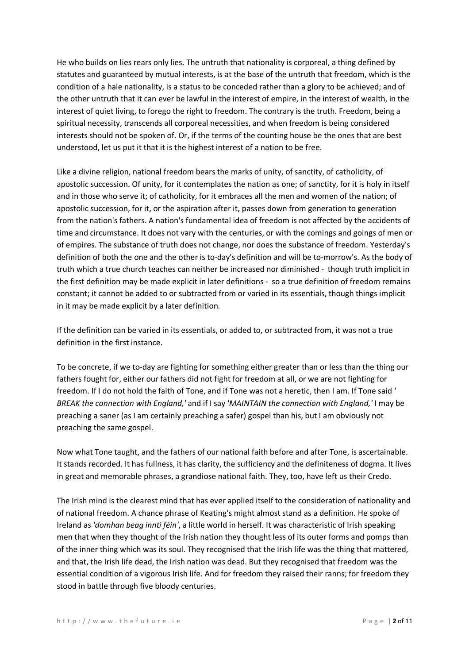He who builds on lies rears only lies. The untruth that nationality is corporeal, a thing defined by statutes and guaranteed by mutual interests, is at the base of the untruth that freedom, which is the condition of a hale nationality, is a status to be conceded rather than a glory to be achieved; and of the other untruth that it can ever be lawful in the interest of empire, in the interest of wealth, in the interest of quiet living, to forego the right to freedom. The contrary is the truth. Freedom, being a spiritual necessity, transcends all corporeal necessities, and when freedom is being considered interests should not be spoken of. Or, if the terms of the counting house be the ones that are best understood, let us put it that it is the highest interest of a nation to be free.

Like a divine religion, national freedom bears the marks of unity, of sanctity, of catholicity, of apostolic succession. Of unity, for it contemplates the nation as one; of sanctity, for it is holy in itself and in those who serve it; of catholicity, for it embraces all the men and women of the nation; of apostolic succession, for it, or the aspiration after it, passes down from generation to generation from the nation's fathers. A nation's fundamental idea of freedom is not affected by the accidents of time and circumstance. It does not vary with the centuries, or with the comings and goings of men or of empires. The substance of truth does not change, nor does the substance of freedom. Yesterday's definition of both the one and the other is to-day's definition and will be to-morrow's. As the body of truth which a true church teaches can neither be increased nor diminished - though truth implicit in the first definition may be made explicit in later definitions - so a true definition of freedom remains constant; it cannot be added to or subtracted from or varied in its essentials, though things implicit in it may be made explicit by a later definition.

If the definition can be varied in its essentials, or added to, or subtracted from, it was not a true definition in the first instance.

To be concrete, if we to-day are fighting for something either greater than or less than the thing our fathers fought for, either our fathers did not fight for freedom at all, or we are not fighting for freedom. If I do not hold the faith of Tone, and if Tone was not a heretic, then I am. If Tone said *' BREAK the connection with England,'* and if I say *'MAINTAIN the connection with England,'* I may be preaching a saner (as I am certainly preaching a safer) gospel than his, but I am obviously not preaching the same gospel.

Now what Tone taught, and the fathers of our national faith before and after Tone, is ascertainable. It stands recorded. It has fullness, it has clarity, the sufficiency and the definiteness of dogma. It lives in great and memorable phrases, a grandiose national faith. They, too, have left us their Credo.

The Irish mind is the clearest mind that has ever applied itself to the consideration of nationality and of national freedom. A chance phrase of Keating's might almost stand as a definition. He spoke of Ireland as *'domhan beag innti féin'*, a little world in herself. It was characteristic of Irish speaking men that when they thought of the Irish nation they thought less of its outer forms and pomps than of the inner thing which was its soul. They recognised that the Irish life was the thing that mattered, and that, the Irish life dead, the Irish nation was dead. But they recognised that freedom was the essential condition of a vigorous Irish life. And for freedom they raised their ranns; for freedom they stood in battle through five bloody centuries.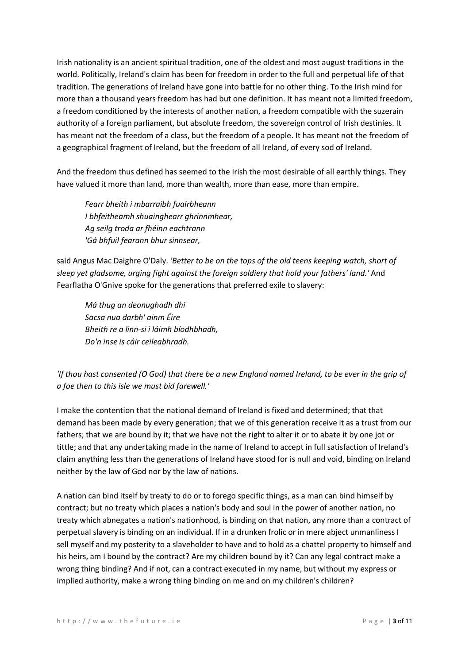Irish nationality is an ancient spiritual tradition, one of the oldest and most august traditions in the world. Politically, Ireland's claim has been for freedom in order to the full and perpetual life of that tradition. The generations of Ireland have gone into battle for no other thing. To the Irish mind for more than a thousand years freedom has had but one definition. It has meant not a limited freedom, a freedom conditioned by the interests of another nation, a freedom compatible with the suzerain authority of a foreign parliament, but absolute freedom, the sovereign control of Irish destinies. It has meant not the freedom of a class, but the freedom of a people. It has meant not the freedom of a geographical fragment of Ireland, but the freedom of all Ireland, of every sod of Ireland.

And the freedom thus defined has seemed to the Irish the most desirable of all earthly things. They have valued it more than land, more than wealth, more than ease, more than empire.

*Fearr bheith i mbarraibh fuairbheann I bhfeitheamh shuainghearr ghrinnmhear, Ag seilg troda ar fhéinn eachtrann 'Gá bhfuil fearann bhur sinnsear,*

said Angus Mac Daighre O'Daly. *'Better to be on the tops of the old teens keeping watch, short of sleep yet gladsome, urging fight against the foreign soldiery that hold your fathers' land.'* And Fearflatha O'Gnive spoke for the generations that preferred exile to slavery:

*Má thug an deonughadh dhi Sacsa nua darbh' ainm Éire Bheith re a linn-si i láimh bíodhbhadh, Do'n inse is cáir ceileabhradh.*

# *'If thou hast consented (O God) that there be a new England named Ireland, to be ever in the grip of a foe then to this isle we must bid farewell.'*

I make the contention that the national demand of Ireland is fixed and determined; that that demand has been made by every generation; that we of this generation receive it as a trust from our fathers; that we are bound by it; that we have not the right to alter it or to abate it by one jot or tittle; and that any undertaking made in the name of Ireland to accept in full satisfaction of Ireland's claim anything less than the generations of Ireland have stood for is null and void, binding on Ireland neither by the law of God nor by the law of nations.

A nation can bind itself by treaty to do or to forego specific things, as a man can bind himself by contract; but no treaty which places a nation's body and soul in the power of another nation, no treaty which abnegates a nation's nationhood, is binding on that nation, any more than a contract of perpetual slavery is binding on an individual. If in a drunken frolic or in mere abject unmanliness I sell myself and my posterity to a slaveholder to have and to hold as a chattel property to himself and his heirs, am I bound by the contract? Are my children bound by it? Can any legal contract make a wrong thing binding? And if not, can a contract executed in my name, but without my express or implied authority, make a wrong thing binding on me and on my children's children?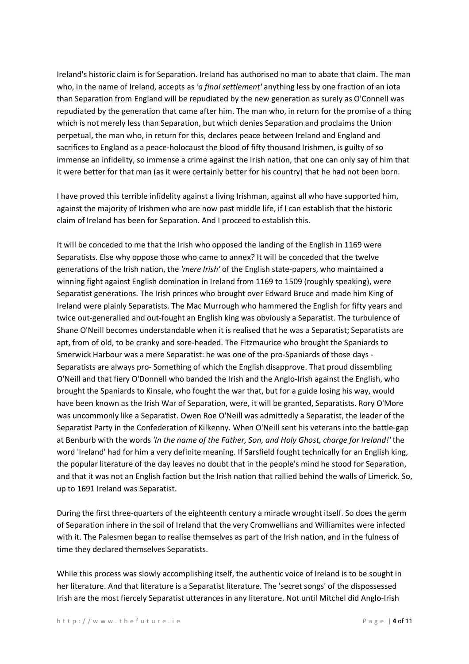Ireland's historic claim is for Separation. Ireland has authorised no man to abate that claim. The man who, in the name of Ireland, accepts as *'a final settlement'* anything less by one fraction of an iota than Separation from England will be repudiated by the new generation as surely as O'Connell was repudiated by the generation that came after him. The man who, in return for the promise of a thing which is not merely less than Separation, but which denies Separation and proclaims the Union perpetual, the man who, in return for this, declares peace between Ireland and England and sacrifices to England as a peace-holocaust the blood of fifty thousand Irishmen, is guilty of so immense an infidelity, so immense a crime against the Irish nation, that one can only say of him that it were better for that man (as it were certainly better for his country) that he had not been born.

I have proved this terrible infidelity against a living Irishman, against all who have supported him, against the majority of Irishmen who are now past middle life, if I can establish that the historic claim of Ireland has been for Separation. And I proceed to establish this.

It will be conceded to me that the Irish who opposed the landing of the English in 1169 were Separatists. Else why oppose those who came to annex? It will be conceded that the twelve generations of the Irish nation, the *'mere Irish'* of the English state-papers, who maintained a winning fight against English domination in Ireland from 1169 to 1509 (roughly speaking), were Separatist generations. The Irish princes who brought over Edward Bruce and made him King of Ireland were plainly Separatists. The Mac Murrough who hammered the English for fifty years and twice out-generalled and out-fought an English king was obviously a Separatist. The turbulence of Shane O'Neill becomes understandable when it is realised that he was a Separatist; Separatists are apt, from of old, to be cranky and sore-headed. The Fitzmaurice who brought the Spaniards to Smerwick Harbour was a mere Separatist: he was one of the pro-Spaniards of those days - Separatists are always pro- Something of which the English disapprove. That proud dissembling O'Neill and that fiery O'Donnell who banded the Irish and the Anglo-Irish against the English, who brought the Spaniards to Kinsale, who fought the war that, but for a guide losing his way, would have been known as the Irish War of Separation, were, it will be granted, Separatists. Rory O'More was uncommonly like a Separatist. Owen Roe O'Neill was admittedly a Separatist, the leader of the Separatist Party in the Confederation of Kilkenny. When O'Neill sent his veterans into the battle-gap at Benburb with the words *'In the name of the Father, Son, and Holy Ghost, charge for Ireland!'* the word 'Ireland' had for him a very definite meaning. If Sarsfield fought technically for an English king, the popular literature of the day leaves no doubt that in the people's mind he stood for Separation, and that it was not an English faction but the Irish nation that rallied behind the walls of Limerick. So, up to 1691 Ireland was Separatist.

During the first three-quarters of the eighteenth century a miracle wrought itself. So does the germ of Separation inhere in the soil of Ireland that the very Cromwellians and Williamites were infected with it. The Palesmen began to realise themselves as part of the Irish nation, and in the fulness of time they declared themselves Separatists.

While this process was slowly accomplishing itself, the authentic voice of Ireland is to be sought in her literature. And that literature is a Separatist literature. The 'secret songs' of the dispossessed Irish are the most fiercely Separatist utterances in any literature. Not until Mitchel did Anglo-Irish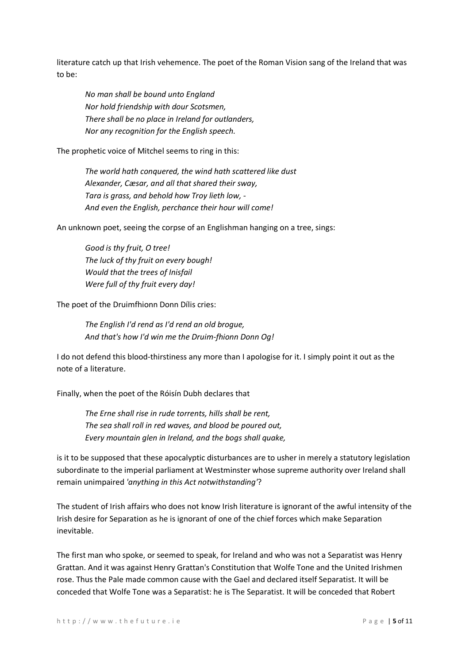literature catch up that Irish vehemence. The poet of the Roman Vision sang of the Ireland that was to be:

*No man shall be bound unto England Nor hold friendship with dour Scotsmen, There shall be no place in Ireland for outlanders, Nor any recognition for the English speech.*

The prophetic voice of Mitchel seems to ring in this:

*The world hath conquered, the wind hath scattered like dust Alexander, Cæsar, and all that shared their sway, Tara is grass, and behold how Troy lieth low, - And even the English, perchance their hour will come!*

An unknown poet, seeing the corpse of an Englishman hanging on a tree, sings:

*Good is thy fruit, O tree! The luck of thy fruit on every bough! Would that the trees of Inisfail Were full of thy fruit every day!*

The poet of the Druimfhionn Donn Dílis cries:

*The English I'd rend as I'd rend an old brogue, And that's how I'd win me the Druim-fhionn Donn Og!*

I do not defend this blood-thirstiness any more than I apologise for it. I simply point it out as the note of a literature.

Finally, when the poet of the Róisín Dubh declares that

*The Erne shall rise in rude torrents, hills shall be rent, The sea shall roll in red waves, and blood be poured out, Every mountain glen in Ireland, and the bogs shall quake,*

is it to be supposed that these apocalyptic disturbances are to usher in merely a statutory legislation subordinate to the imperial parliament at Westminster whose supreme authority over Ireland shall remain unimpaired *'anything in this Act notwithstanding'*?

The student of Irish affairs who does not know Irish literature is ignorant of the awful intensity of the Irish desire for Separation as he is ignorant of one of the chief forces which make Separation inevitable.

The first man who spoke, or seemed to speak, for Ireland and who was not a Separatist was Henry Grattan. And it was against Henry Grattan's Constitution that Wolfe Tone and the United Irishmen rose. Thus the Pale made common cause with the Gael and declared itself Separatist. It will be conceded that Wolfe Tone was a Separatist: he is The Separatist. It will be conceded that Robert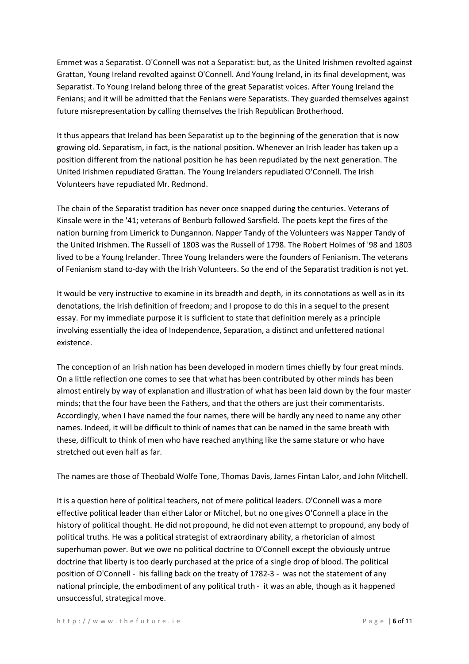Emmet was a Separatist. O'Connell was not a Separatist: but, as the United Irishmen revolted against Grattan, Young Ireland revolted against O'Connell. And Young Ireland, in its final development, was Separatist. To Young Ireland belong three of the great Separatist voices. After Young Ireland the Fenians; and it will be admitted that the Fenians were Separatists. They guarded themselves against future misrepresentation by calling themselves the Irish Republican Brotherhood.

It thus appears that Ireland has been Separatist up to the beginning of the generation that is now growing old. Separatism, in fact, is the national position. Whenever an Irish leader has taken up a position different from the national position he has been repudiated by the next generation. The United Irishmen repudiated Grattan. The Young Irelanders repudiated O'Connell. The Irish Volunteers have repudiated Mr. Redmond.

The chain of the Separatist tradition has never once snapped during the centuries. Veterans of Kinsale were in the '41; veterans of Benburb followed Sarsfield. The poets kept the fires of the nation burning from Limerick to Dungannon. Napper Tandy of the Volunteers was Napper Tandy of the United Irishmen. The Russell of 1803 was the Russell of 1798. The Robert Holmes of '98 and 1803 lived to be a Young Irelander. Three Young Irelanders were the founders of Fenianism. The veterans of Fenianism stand to-day with the Irish Volunteers. So the end of the Separatist tradition is not yet.

It would be very instructive to examine in its breadth and depth, in its connotations as well as in its denotations, the Irish definition of freedom; and I propose to do this in a sequel to the present essay. For my immediate purpose it is sufficient to state that definition merely as a principle involving essentially the idea of Independence, Separation, a distinct and unfettered national existence.

The conception of an Irish nation has been developed in modern times chiefly by four great minds. On a little reflection one comes to see that what has been contributed by other minds has been almost entirely by way of explanation and illustration of what has been laid down by the four master minds; that the four have been the Fathers, and that the others are just their commentarists. Accordingly, when I have named the four names, there will be hardly any need to name any other names. Indeed, it will be difficult to think of names that can be named in the same breath with these, difficult to think of men who have reached anything like the same stature or who have stretched out even half as far.

The names are those of Theobald Wolfe Tone, Thomas Davis, James Fintan Lalor, and John Mitchell.

It is a question here of political teachers, not of mere political leaders. O'Connell was a more effective political leader than either Lalor or Mitchel, but no one gives O'Connell a place in the history of political thought. He did not propound, he did not even attempt to propound, any body of political truths. He was a political strategist of extraordinary ability, a rhetorician of almost superhuman power. But we owe no political doctrine to O'Connell except the obviously untrue doctrine that liberty is too dearly purchased at the price of a single drop of blood. The political position of O'Connell - his falling back on the treaty of 1782-3 - was not the statement of any national principle, the embodiment of any political truth - it was an able, though as it happened unsuccessful, strategical move.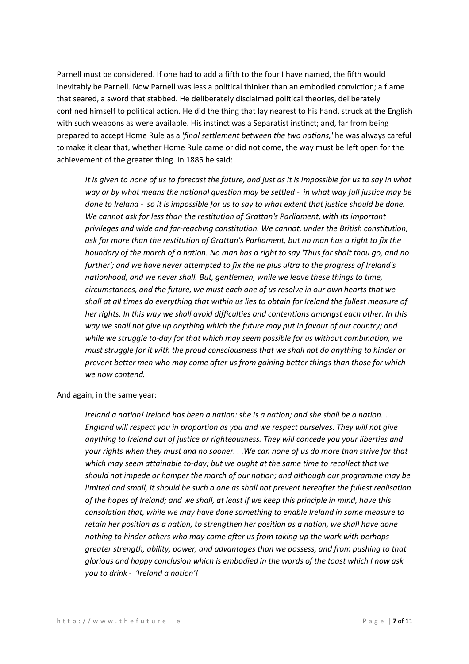Parnell must be considered. If one had to add a fifth to the four I have named, the fifth would inevitably be Parnell. Now Parnell was less a political thinker than an embodied conviction; a flame that seared, a sword that stabbed. He deliberately disclaimed political theories, deliberately confined himself to political action. He did the thing that lay nearest to his hand, struck at the English with such weapons as were available. His instinct was a Separatist instinct; and, far from being prepared to accept Home Rule as a *'final settlement between the two nations,'* he was always careful to make it clear that, whether Home Rule came or did not come, the way must be left open for the achievement of the greater thing. In 1885 he said:

*It is given to none of us to forecast the future, and just as it is impossible for us to say in what way or by what means the national question may be settled - in what way full justice may be done to Ireland - so it is impossible for us to say to what extent that justice should be done. We cannot ask for less than the restitution of Grattan's Parliament, with its important privileges and wide and far-reaching constitution. We cannot, under the British constitution, ask for more than the restitution of Grattan's Parliament, but no man has a right to fix the boundary of the march of a nation. No man has a right to say 'Thus far shalt thou go, and no further'; and we have never attempted to fix the ne plus ultra to the progress of Ireland's nationhood, and we never shall. But, gentlemen, while we leave these things to time, circumstances, and the future, we must each one of us resolve in our own hearts that we shall at all times do everything that within us lies to obtain for Ireland the fullest measure of her rights. In this way we shall avoid difficulties and contentions amongst each other. In this way we shall not give up anything which the future may put in favour of our country; and while we struggle to-day for that which may seem possible for us without combination, we must struggle for it with the proud consciousness that we shall not do anything to hinder or prevent better men who may come after us from gaining better things than those for which we now contend.*

And again, in the same year:

*Ireland a nation! Ireland has been a nation: she is a nation; and she shall be a nation... England will respect you in proportion as you and we respect ourselves. They will not give anything to Ireland out of justice or righteousness. They will concede you your liberties and your rights when they must and no sooner. . .We can none of us do more than strive for that which may seem attainable to-day; but we ought at the same time to recollect that we should not impede or hamper the march of our nation; and although our programme may be limited and small, it should be such a one as shall not prevent hereafter the fullest realisation of the hopes of Ireland; and we shall, at least if we keep this principle in mind, have this consolation that, while we may have done something to enable Ireland in some measure to retain her position as a nation, to strengthen her position as a nation, we shall have done nothing to hinder others who may come after us from taking up the work with perhaps greater strength, ability, power, and advantages than we possess, and from pushing to that glorious and happy conclusion which is embodied in the words of the toast which I now ask you to drink - 'Ireland a nation'!*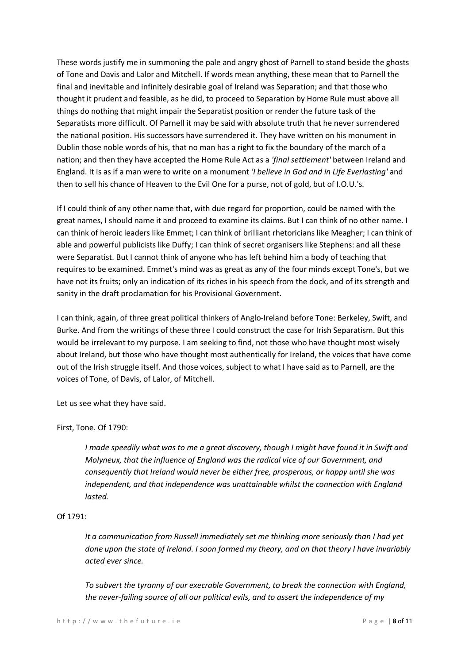These words justify me in summoning the pale and angry ghost of Parnell to stand beside the ghosts of Tone and Davis and Lalor and Mitchell. If words mean anything, these mean that to Parnell the final and inevitable and infinitely desirable goal of Ireland was Separation; and that those who thought it prudent and feasible, as he did, to proceed to Separation by Home Rule must above all things do nothing that might impair the Separatist position or render the future task of the Separatists more difficult. Of Parnell it may be said with absolute truth that he never surrendered the national position. His successors have surrendered it. They have written on his monument in Dublin those noble words of his, that no man has a right to fix the boundary of the march of a nation; and then they have accepted the Home Rule Act as a *'final settlement'* between Ireland and England. It is as if a man were to write on a monument *'I believe in God and in Life Everlasting'* and then to sell his chance of Heaven to the Evil One for a purse, not of gold, but of I.O.U.'s.

If I could think of any other name that, with due regard for proportion, could be named with the great names, I should name it and proceed to examine its claims. But I can think of no other name. I can think of heroic leaders like Emmet; I can think of brilliant rhetoricians like Meagher; I can think of able and powerful publicists like Duffy; I can think of secret organisers like Stephens: and all these were Separatist. But I cannot think of anyone who has left behind him a body of teaching that requires to be examined. Emmet's mind was as great as any of the four minds except Tone's, but we have not its fruits; only an indication of its riches in his speech from the dock, and of its strength and sanity in the draft proclamation for his Provisional Government.

I can think, again, of three great political thinkers of Anglo-Ireland before Tone: Berkeley, Swift, and Burke. And from the writings of these three I could construct the case for Irish Separatism. But this would be irrelevant to my purpose. I am seeking to find, not those who have thought most wisely about Ireland, but those who have thought most authentically for Ireland, the voices that have come out of the Irish struggle itself. And those voices, subject to what I have said as to Parnell, are the voices of Tone, of Davis, of Lalor, of Mitchell.

Let us see what they have said.

## First, Tone. Of 1790:

*I made speedily what was to me a great discovery, though I might have found it in Swift and Molyneux, that the influence of England was the radical vice of our Government, and consequently that Ireland would never be either free, prosperous, or happy until she was independent, and that independence was unattainable whilst the connection with England lasted.*

## Of 1791:

*It a communication from Russell immediately set me thinking more seriously than I had yet done upon the state of Ireland. I soon formed my theory, and on that theory I have invariably acted ever since.*

*To subvert the tyranny of our execrable Government, to break the connection with England, the never-failing source of all our political evils, and to assert the independence of my*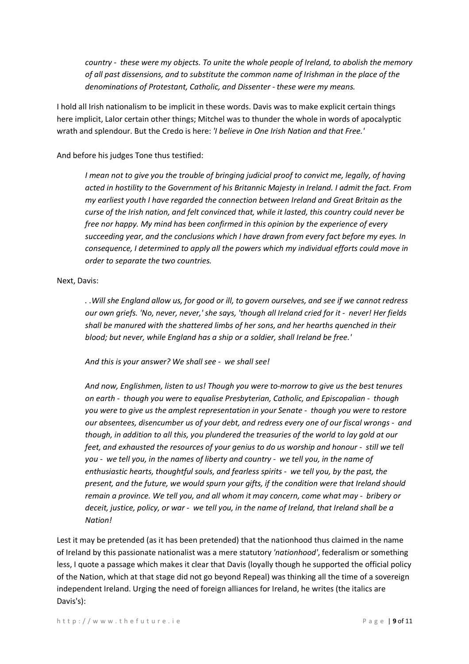*country - these were my objects. To unite the whole people of Ireland, to abolish the memory of all past dissensions, and to substitute the common name of Irishman in the place of the denominations of Protestant, Catholic, and Dissenter - these were my means.*

I hold all Irish nationalism to be implicit in these words. Davis was to make explicit certain things here implicit, Lalor certain other things; Mitchel was to thunder the whole in words of apocalyptic wrath and splendour. But the Credo is here: *'I believe in One Irish Nation and that Free.'*

And before his judges Tone thus testified:

*I mean not to give you the trouble of bringing judicial proof to convict me, legally, of having acted in hostility to the Government of his Britannic Majesty in Ireland. I admit the fact. From my earliest youth I have regarded the connection between Ireland and Great Britain as the curse of the Irish nation, and felt convinced that, while it lasted, this country could never be free nor happy. My mind has been confirmed in this opinion by the experience of every succeeding year, and the conclusions which I have drawn from every fact before my eyes. In consequence, I determined to apply all the powers which my individual efforts could move in order to separate the two countries.*

#### Next, Davis:

*. .Will she England allow us, for good or ill, to govern ourselves, and see if we cannot redress our own griefs. 'No, never, never,' she says, 'though all Ireland cried for it - never! Her fields shall be manured with the shattered limbs of her sons, and her hearths quenched in their blood; but never, while England has a ship or a soldier, shall Ireland be free.'*

*And this is your answer? We shall see - we shall see!*

*And now, Englishmen, listen to us! Though you were to-morrow to give us the best tenures on earth - though you were to equalise Presbyterian, Catholic, and Episcopalian - though you were to give us the amplest representation in your Senate - though you were to restore our absentees, disencumber us of your debt, and redress every one of our fiscal wrongs - and though, in addition to all this, you plundered the treasuries of the world to lay gold at our feet, and exhausted the resources of your genius to do us worship and honour - still we tell you - we tell you, in the names of liberty and country - we tell you, in the name of enthusiastic hearts, thoughtful souls, and fearless spirits - we tell you, by the past, the present, and the future, we would spurn your gifts, if the condition were that Ireland should remain a province. We tell you, and all whom it may concern, come what may - bribery or deceit, justice, policy, or war - we tell you, in the name of Ireland, that Ireland shall be a Nation!*

Lest it may be pretended (as it has been pretended) that the nationhood thus claimed in the name of Ireland by this passionate nationalist was a mere statutory *'nationhood'*, federalism or something less, I quote a passage which makes it clear that Davis (loyally though he supported the official policy of the Nation, which at that stage did not go beyond Repeal) was thinking all the time of a sovereign independent Ireland. Urging the need of foreign alliances for Ireland, he writes (the italics are Davis's):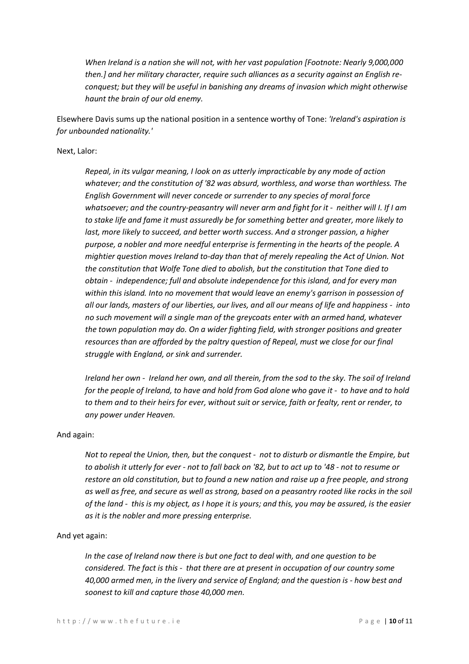*When Ireland is a nation she will not, with her vast population [Footnote: Nearly 9,000,000 then.] and her military character, require such alliances as a security against an English reconquest; but they will be useful in banishing any dreams of invasion which might otherwise haunt the brain of our old enemy.*

Elsewhere Davis sums up the national position in a sentence worthy of Tone: *'Ireland's aspiration is for unbounded nationality.'*

#### Next, Lalor:

*Repeal, in its vulgar meaning, I look on as utterly impracticable by any mode of action whatever; and the constitution of '82 was absurd, worthless, and worse than worthless. The English Government will never concede or surrender to any species of moral force whatsoever; and the country-peasantry will never arm and fight for it - neither will I. If I am to stake life and fame it must assuredly be for something better and greater, more likely to last, more likely to succeed, and better worth success. And a stronger passion, a higher purpose, a nobler and more needful enterprise is fermenting in the hearts of the people. A mightier question moves Ireland to-day than that of merely repealing the Act of Union. Not the constitution that Wolfe Tone died to abolish, but the constitution that Tone died to obtain - independence; full and absolute independence for this island, and for every man within this island. Into no movement that would leave an enemy's garrison in possession of all our lands, masters of our liberties, our lives, and all our means of life and happiness - into no such movement will a single man of the greycoats enter with an armed hand, whatever the town population may do. On a wider fighting field, with stronger positions and greater resources than are afforded by the paltry question of Repeal, must we close for our final struggle with England, or sink and surrender.*

*Ireland her own - Ireland her own, and all therein, from the sod to the sky. The soil of Ireland for the people of Ireland, to have and hold from God alone who gave it - to have and to hold to them and to their heirs for ever, without suit or service, faith or fealty, rent or render, to any power under Heaven.*

#### And again:

*Not to repeal the Union, then, but the conquest - not to disturb or dismantle the Empire, but to abolish it utterly for ever - not to fall back on '82, but to act up to '48 - not to resume or restore an old constitution, but to found a new nation and raise up a free people, and strong as well as free, and secure as well as strong, based on a peasantry rooted like rocks in the soil of the land - this is my object, as I hope it is yours; and this, you may be assured, is the easier as it is the nobler and more pressing enterprise.*

#### And yet again:

*In the case of Ireland now there is but one fact to deal with, and one question to be considered. The fact is this - that there are at present in occupation of our country some 40,000 armed men, in the livery and service of England; and the question is - how best and soonest to kill and capture those 40,000 men.*